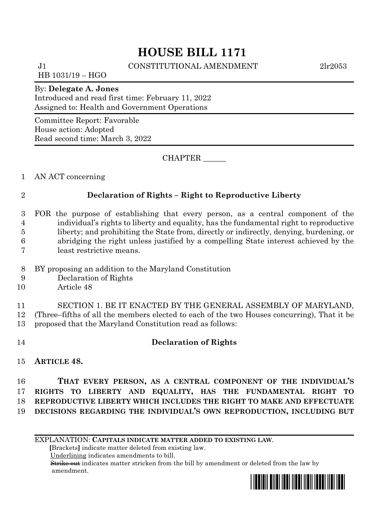# **HOUSE BILL 1171**

J1 CONSTITUTIONAL AMENDMENT 2lr2053

HB 1031/19 – HGO

### By: **Delegate A. Jones**

Introduced and read first time: February 11, 2022 Assigned to: Health and Government Operations

Committee Report: Favorable House action: Adopted Read second time: March 3, 2022

CHAPTER \_\_\_\_\_\_

1 AN ACT concerning

## 2 **Declaration of Rights – Right to Reproductive Liberty**

- 3 FOR the purpose of establishing that every person, as a central component of the 4 individual's rights to liberty and equality, has the fundamental right to reproductive 5 liberty; and prohibiting the State from, directly or indirectly, denying, burdening, or 6 abridging the right unless justified by a compelling State interest achieved by the 7 least restrictive means.
- 8 BY proposing an addition to the Maryland Constitution
- 9 Declaration of Rights
- 10 Article 48

11 SECTION 1. BE IT ENACTED BY THE GENERAL ASSEMBLY OF MARYLAND, 12 (Three–fifths of all the members elected to each of the two Houses concurring), That it be 13 proposed that the Maryland Constitution read as follows:

# 14 **Declaration of Rights**

15 **ARTICLE 48.**

 **THAT EVERY PERSON, AS A CENTRAL COMPONENT OF THE INDIVIDUAL'S RIGHTS TO LIBERTY AND EQUALITY, HAS THE FUNDAMENTAL RIGHT TO REPRODUCTIVE LIBERTY WHICH INCLUDES THE RIGHT TO MAKE AND EFFECTUATE DECISIONS REGARDING THE INDIVIDUAL'S OWN REPRODUCTION, INCLUDING BUT** 

EXPLANATION: **CAPITALS INDICATE MATTER ADDED TO EXISTING LAW**.

 **[**Brackets**]** indicate matter deleted from existing law.

Underlining indicates amendments to bill.

 Strike out indicates matter stricken from the bill by amendment or deleted from the law by amendment.